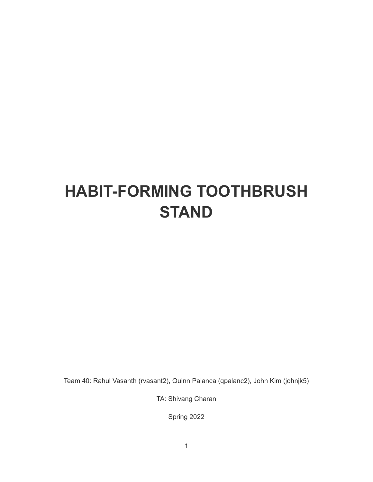# **HABIT-FORMING TOOTHBRUSH STAND**

Team 40: Rahul Vasanth (rvasant2), Quinn Palanca (qpalanc2), John Kim (johnjk5)

TA: Shivang Charan

Spring 2022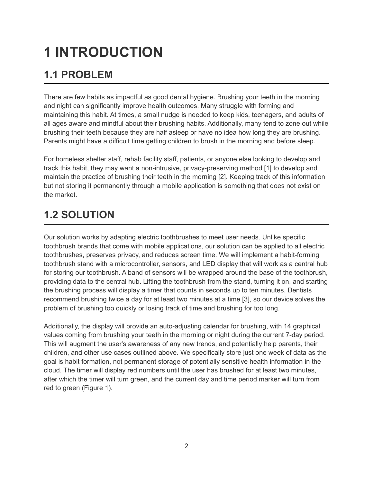# **1 INTRODUCTION**

# **1.1 PROBLEM**

There are few habits as impactful as good dental hygiene. Brushing your teeth in the morning and night can significantly improve health outcomes. Many struggle with forming and maintaining this habit. At times, a small nudge is needed to keep kids, teenagers, and adults of all ages aware and mindful about their brushing habits. Additionally, many tend to zone out while brushing their teeth because they are half asleep or have no idea how long they are brushing. Parents might have a difficult time getting children to brush in the morning and before sleep.

For homeless shelter staff, rehab facility staff, patients, or anyone else looking to develop and track this habit, they may want a non-intrusive, privacy-preserving method [1] to develop and maintain the practice of brushing their teeth in the morning [2]. Keeping track of this information but not storing it permanently through a mobile application is something that does not exist on the market.

# **1.2 SOLUTION**

Our solution works by adapting electric toothbrushes to meet user needs. Unlike specific toothbrush brands that come with mobile applications, our solution can be applied to all electric toothbrushes, preserves privacy, and reduces screen time. We will implement a habit-forming toothbrush stand with a microcontroller, sensors, and LED display that will work as a central hub for storing our toothbrush. A band of sensors will be wrapped around the base of the toothbrush, providing data to the central hub. Lifting the toothbrush from the stand, turning it on, and starting the brushing process will display a timer that counts in seconds up to ten minutes. Dentists recommend brushing twice a day for at least two minutes at a time [3], so our device solves the problem of brushing too quickly or losing track of time and brushing for too long.

Additionally, the display will provide an auto-adjusting calendar for brushing, with 14 graphical values coming from brushing your teeth in the morning or night during the current 7-day period. This will augment the user's awareness of any new trends, and potentially help parents, their children, and other use cases outlined above. We specifically store just one week of data as the goal is habit formation, not permanent storage of potentially sensitive health information in the cloud. The timer will display red numbers until the user has brushed for at least two minutes, after which the timer will turn green, and the current day and time period marker will turn from red to green (Figure 1).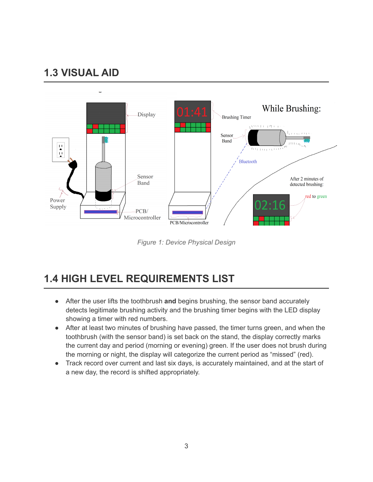## **1.3 VISUAL AID**



*Figure 1: Device Physical Design*

## **1.4 HIGH LEVEL REQUIREMENTS LIST**

- After the user lifts the toothbrush **and** begins brushing, the sensor band accurately detects legitimate brushing activity and the brushing timer begins with the LED display showing a timer with red numbers.
- After at least two minutes of brushing have passed, the timer turns green, and when the toothbrush (with the sensor band) is set back on the stand, the display correctly marks the current day and period (morning or evening) green. If the user does not brush during the morning or night, the display will categorize the current period as "missed" (red).
- Track record over current and last six days, is accurately maintained, and at the start of a new day, the record is shifted appropriately.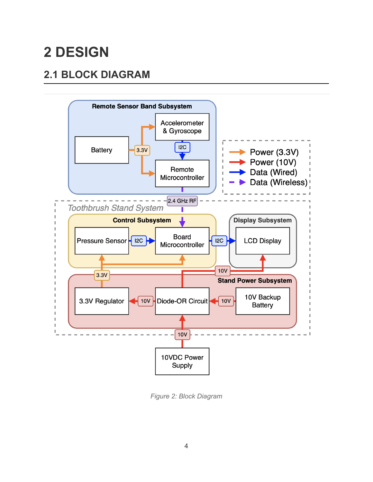# **2 DESIGN**

# **2.1 BLOCK DIAGRAM**



*Figure 2: Block Diagram*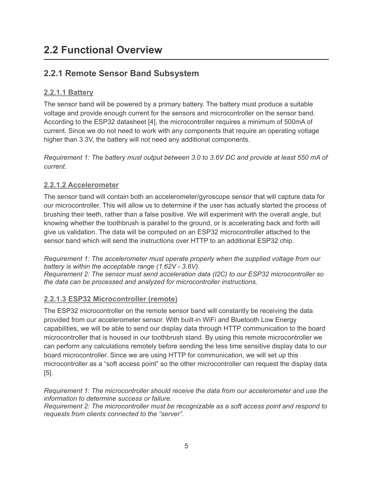## **2.2 Functional Overview**

## **2.2.1 Remote Sensor Band Subsystem**

### **2.2.1.1 Battery**

The sensor band will be powered by a primary battery. The battery must produce a suitable voltage and provide enough current for the sensors and microcontroller on the sensor band. According to the ESP32 datasheet [4], the microcontroller requires a minimum of 500mA of current. Since we do not need to work with any components that require an operating voltage higher than 3.3V, the battery will not need any additional components.

*Requirement 1: The battery must output between 3.0 to 3.6V DC and provide at least 550 mA of current.*

### **2.2.1.2 Accelerometer**

The sensor band will contain both an accelerometer/gyroscope sensor that will capture data for our microcontroller. This will allow us to determine if the user has actually started the process of brushing their teeth, rather than a false positive. We will experiment with the overall angle, but knowing whether the toothbrush is parallel to the ground, or is accelerating back and forth will give us validation. The data will be computed on an ESP32 microcontroller attached to the sensor band which will send the instructions over HTTP to an additional ESP32 chip.

*Requirement 1: The accelerometer must operate properly when the supplied voltage from our battery is within the acceptable range (1.62V - 3.6V). Requirement 2: The sensor must send acceleration data (I2C) to our ESP32 microcontroller so the data can be processed and analyzed for microcontroller instructions.*

### **2.2.1.3 ESP32 Microcontroller (remote)**

The ESP32 microcontroller on the remote sensor band will constantly be receiving the data provided from our accelerometer sensor. With built-in WiFi and Bluetooth Low Energy capabilities, we will be able to send our display data through HTTP communication to the board microcontroller that is housed in our toothbrush stand. By using this remote microcontroller we can perform any calculations remotely before sending the less time sensitive display data to our board microcontroller. Since we are using HTTP for communication, we will set up this microcontroller as a "soft access point" so the other microcontroller can request the display data [5].

*Requirement 1: The microcontroller should receive the data from our accelerometer and use the information to determine success or failure.*

*Requirement 2: The microcontroller must be recognizable as a soft access point and respond to requests from clients connected to the "server".*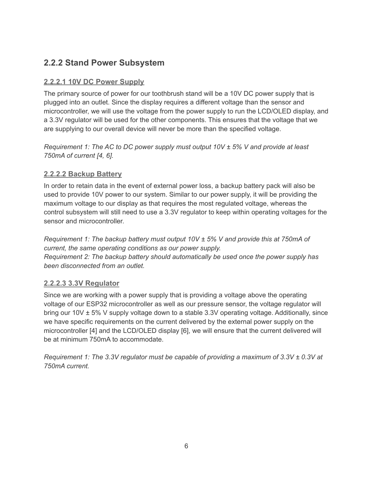## **2.2.2 Stand Power Subsystem**

#### **2.2.2.1 10V DC Power Supply**

The primary source of power for our toothbrush stand will be a 10V DC power supply that is plugged into an outlet. Since the display requires a different voltage than the sensor and microcontroller, we will use the voltage from the power supply to run the LCD/OLED display, and a 3.3V regulator will be used for the other components. This ensures that the voltage that we are supplying to our overall device will never be more than the specified voltage.

*Requirement 1: The AC to DC power supply must output 10V ± 5% V and provide at least 750mA of current [4, 6].*

#### **2.2.2.2 Backup Battery**

In order to retain data in the event of external power loss, a backup battery pack will also be used to provide 10V power to our system. Similar to our power supply, it will be providing the maximum voltage to our display as that requires the most regulated voltage, whereas the control subsystem will still need to use a 3.3V regulator to keep within operating voltages for the sensor and microcontroller.

*Requirement 1: The backup battery must output 10V ± 5% V and provide this at 750mA of current, the same operating conditions as our power supply. Requirement 2: The backup battery should automatically be used once the power supply has been disconnected from an outlet.*

#### **2.2.2.3 3.3V Regulator**

Since we are working with a power supply that is providing a voltage above the operating voltage of our ESP32 microcontroller as well as our pressure sensor, the voltage regulator will bring our 10V ± 5% V supply voltage down to a stable 3.3V operating voltage. Additionally, since we have specific requirements on the current delivered by the external power supply on the microcontroller [4] and the LCD/OLED display [6], we will ensure that the current delivered will be at minimum 750mA to accommodate.

*Requirement 1: The 3.3V regulator must be capable of providing a maximum of 3.3V ± 0.3V at 750mA current.*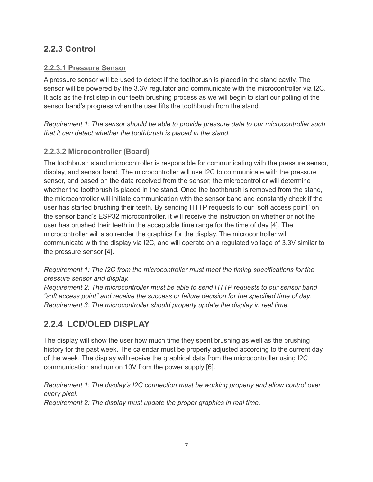### **2.2.3 Control**

### **2.2.3.1 Pressure Sensor**

A pressure sensor will be used to detect if the toothbrush is placed in the stand cavity. The sensor will be powered by the 3.3V regulator and communicate with the microcontroller via I2C. It acts as the first step in our teeth brushing process as we will begin to start our polling of the sensor band's progress when the user lifts the toothbrush from the stand.

*Requirement 1: The sensor should be able to provide pressure data to our microcontroller such that it can detect whether the toothbrush is placed in the stand.*

### **2.2.3.2 Microcontroller (Board)**

The toothbrush stand microcontroller is responsible for communicating with the pressure sensor, display, and sensor band. The microcontroller will use I2C to communicate with the pressure sensor, and based on the data received from the sensor, the microcontroller will determine whether the toothbrush is placed in the stand. Once the toothbrush is removed from the stand, the microcontroller will initiate communication with the sensor band and constantly check if the user has started brushing their teeth. By sending HTTP requests to our "soft access point" on the sensor band's ESP32 microcontroller, it will receive the instruction on whether or not the user has brushed their teeth in the acceptable time range for the time of day [4]. The microcontroller will also render the graphics for the display. The microcontroller will communicate with the display via I2C, and will operate on a regulated voltage of 3.3V similar to the pressure sensor [4].

*Requirement 1: The I2C from the microcontroller must meet the timing specifications for the pressure sensor and display.*

*Requirement 2: The microcontroller must be able to send HTTP requests to our sensor band "soft access point" and receive the success or failure decision for the specified time of day. Requirement 3: The microcontroller should properly update the display in real time.*

## **2.2.4 LCD/OLED DISPLAY**

The display will show the user how much time they spent brushing as well as the brushing history for the past week. The calendar must be properly adjusted according to the current day of the week. The display will receive the graphical data from the microcontroller using I2C communication and run on 10V from the power supply [6].

*Requirement 1: The display's I2C connection must be working properly and allow control over every pixel.*

*Requirement 2: The display must update the proper graphics in real time.*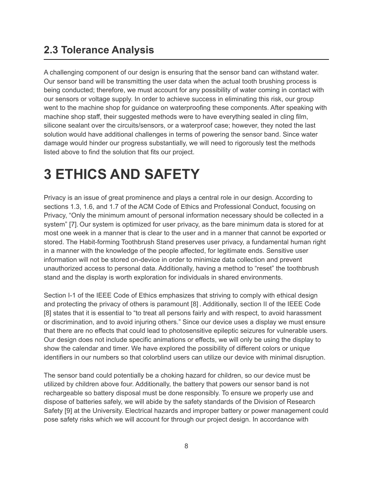## **2.3 Tolerance Analysis**

A challenging component of our design is ensuring that the sensor band can withstand water. Our sensor band will be transmitting the user data when the actual tooth brushing process is being conducted; therefore, we must account for any possibility of water coming in contact with our sensors or voltage supply. In order to achieve success in eliminating this risk, our group went to the machine shop for guidance on waterproofing these components. After speaking with machine shop staff, their suggested methods were to have everything sealed in cling film, silicone sealant over the circuits/sensors, or a waterproof case; however, they noted the last solution would have additional challenges in terms of powering the sensor band. Since water damage would hinder our progress substantially, we will need to rigorously test the methods listed above to find the solution that fits our project.

# **3 ETHICS AND SAFETY**

Privacy is an issue of great prominence and plays a central role in our design. According to sections 1.3, 1.6, and 1.7 of the ACM Code of Ethics and Professional Conduct, focusing on Privacy, "Only the minimum amount of personal information necessary should be collected in a system" [7]. Our system is optimized for user privacy, as the bare minimum data is stored for at most one week in a manner that is clear to the user and in a manner that cannot be exported or stored. The Habit-forming Toothbrush Stand preserves user privacy, a fundamental human right in a manner with the knowledge of the people affected, for legitimate ends. Sensitive user information will not be stored on-device in order to minimize data collection and prevent unauthorized access to personal data. Additionally, having a method to "reset" the toothbrush stand and the display is worth exploration for individuals in shared environments.

Section I-1 of the IEEE Code of Ethics emphasizes that striving to comply with ethical design and protecting the privacy of others is paramount [8] . Additionally, section II of the IEEE Code [8] states that it is essential to "to treat all persons fairly and with respect, to avoid harassment or discrimination, and to avoid injuring others." Since our device uses a display we must ensure that there are no effects that could lead to photosensitive epileptic seizures for vulnerable users. Our design does not include specific animations or effects, we will only be using the display to show the calendar and timer. We have explored the possibility of different colors or unique identifiers in our numbers so that colorblind users can utilize our device with minimal disruption.

The sensor band could potentially be a choking hazard for children, so our device must be utilized by children above four. Additionally, the battery that powers our sensor band is not rechargeable so battery disposal must be done responsibly. To ensure we properly use and dispose of batteries safely, we will abide by the safety standards of the Division of Research Safety [9] at the University. Electrical hazards and improper battery or power management could pose safety risks which we will account for through our project design. In accordance with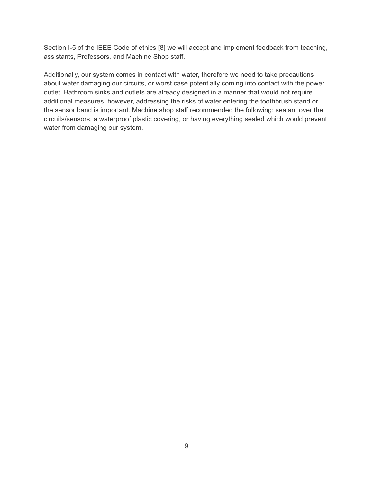Section I-5 of the IEEE Code of ethics [8] we will accept and implement feedback from teaching, assistants, Professors, and Machine Shop staff.

Additionally, our system comes in contact with water, therefore we need to take precautions about water damaging our circuits, or worst case potentially coming into contact with the power outlet. Bathroom sinks and outlets are already designed in a manner that would not require additional measures, however, addressing the risks of water entering the toothbrush stand or the sensor band is important. Machine shop staff recommended the following: sealant over the circuits/sensors, a waterproof plastic covering, or having everything sealed which would prevent water from damaging our system.